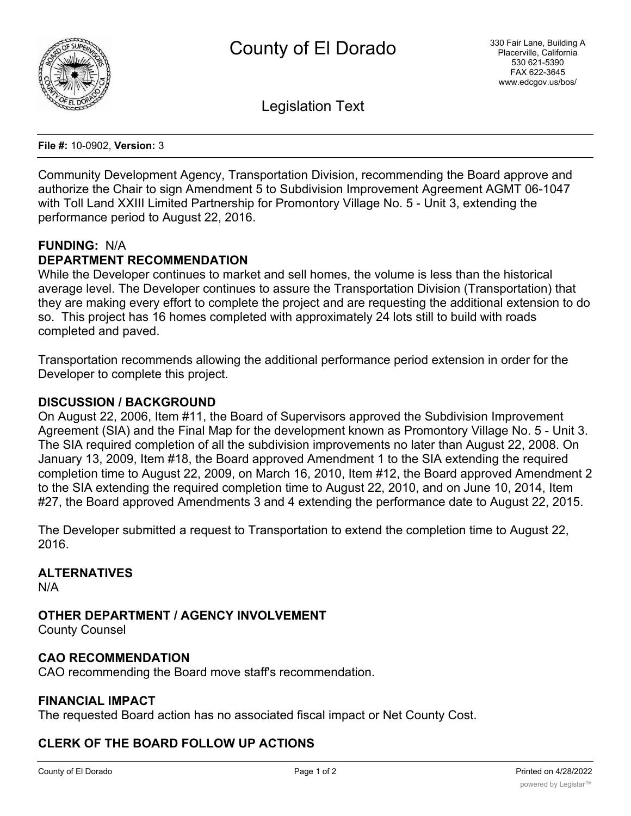

Legislation Text

**File #:** 10-0902, **Version:** 3

Community Development Agency, Transportation Division, recommending the Board approve and authorize the Chair to sign Amendment 5 to Subdivision Improvement Agreement AGMT 06-1047 with Toll Land XXIII Limited Partnership for Promontory Village No. 5 - Unit 3, extending the performance period to August 22, 2016.

## **FUNDING:** N/A

# **DEPARTMENT RECOMMENDATION**

While the Developer continues to market and sell homes, the volume is less than the historical average level. The Developer continues to assure the Transportation Division (Transportation) that they are making every effort to complete the project and are requesting the additional extension to do so. This project has 16 homes completed with approximately 24 lots still to build with roads completed and paved.

Transportation recommends allowing the additional performance period extension in order for the Developer to complete this project.

#### **DISCUSSION / BACKGROUND**

On August 22, 2006, Item #11, the Board of Supervisors approved the Subdivision Improvement Agreement (SIA) and the Final Map for the development known as Promontory Village No. 5 - Unit 3. The SIA required completion of all the subdivision improvements no later than August 22, 2008. On January 13, 2009, Item #18, the Board approved Amendment 1 to the SIA extending the required completion time to August 22, 2009, on March 16, 2010, Item #12, the Board approved Amendment 2 to the SIA extending the required completion time to August 22, 2010, and on June 10, 2014, Item #27, the Board approved Amendments 3 and 4 extending the performance date to August 22, 2015.

The Developer submitted a request to Transportation to extend the completion time to August 22, 2016.

#### **ALTERNATIVES**

N/A

**OTHER DEPARTMENT / AGENCY INVOLVEMENT**

County Counsel

#### **CAO RECOMMENDATION**

CAO recommending the Board move staff's recommendation.

#### **FINANCIAL IMPACT**

The requested Board action has no associated fiscal impact or Net County Cost.

## **CLERK OF THE BOARD FOLLOW UP ACTIONS**